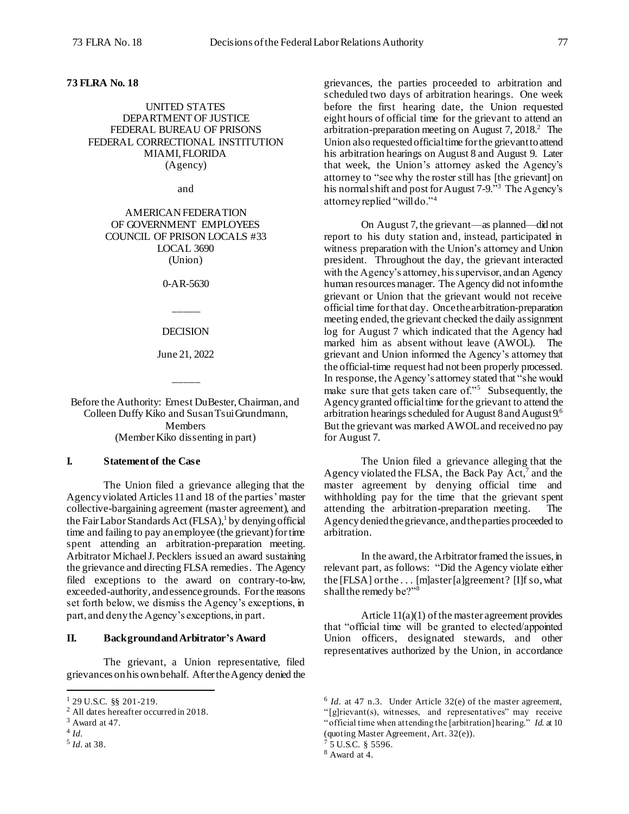### **73 FLRA No. 18**

## UNITED STATES DEPARTMENT OF JUSTICE FEDERAL BUREAU OF PRISONS FEDERAL CORRECTIONAL INSTITUTION MIAMI, FLORIDA (Agency)

and

AMERICAN FEDERATION OF GOVERNMENT EMPLOYEES COUNCIL OF PRISON LOCALS #33 LOCAL 3690 (Union)

0-AR-5630

\_\_\_\_\_

### DECISION

June 21, 2022

\_\_\_\_\_

Before the Authority: Ernest DuBester, Chairman, and Colleen Duffy Kiko and Susan Tsui Grundmann, Members (Member Kiko dissenting in part)

## **I. Statement of the Case**

The Union filed a grievance alleging that the Agency violated Articles 11 and 18 of the parties' master collective-bargaining agreement (master agreement), and the Fair Labor Standards Act (FLSA), 1 by denying official time and failing to pay an employee (the grievant) for time spent attending an arbitration-preparation meeting. Arbitrator MichaelJ.Pecklers issued an award sustaining the grievance and directing FLSA remedies. The Agency filed exceptions to the award on contrary-to-law, exceeded-authority, and essencegrounds. For the reasons set forth below, we dismiss the Agency's exceptions, in part, and deny the Agency's exceptions, in part.

# **II. Backgroundand Arbitrator's Award**

The grievant, a Union representative, filed grievances on his own behalf. After the Agency denied the

l

grievances, the parties proceeded to arbitration and scheduled two days of arbitration hearings. One week before the first hearing date, the Union requested eight hours of official time for the grievant to attend an arbitration-preparation meeting on August 7, 2018. <sup>2</sup> The Union also requested official time for the grievant to attend his arbitration hearings on August 8 and August 9. Later that week, the Union's attorney asked the Agency's attorney to "see why the roster still has [the grievant] on his normal shift and post for August 7-9."<sup>3</sup> The Agency's attorney replied "will do."<sup>4</sup>

On August 7,the grievant—as planned—did not report to his duty station and, instead, participated in witness preparation with the Union's attorney and Union president. Throughout the day, the grievant interacted with the Agency's attorney, his supervisor, and an Agency human resources manager. The Agency did not inform the grievant or Union that the grievant would not receive official time for that day. Oncethe arbitration-preparation meeting ended, the grievant checked the daily assignment log for August 7 which indicated that the Agency had marked him as absent without leave (AWOL). The grievant and Union informed the Agency's attorney that the official-time request had not been properly processed. In response, the Agency's attorney stated that "she would make sure that gets taken care of."<sup>5</sup> Subsequently, the Agency granted official time for the grievant to attend the arbitration hearings scheduled for August 8 and August 9.6 But the grievant was marked AWOL and received no pay for August 7.

The Union filed a grievance alleging that the Agency violated the FLSA, the Back Pay Act,<sup>7</sup> and the master agreement by denying official time and withholding pay for the time that the grievant spent attending the arbitration-preparation meeting. The Agency denied the grievance, and the parties proceeded to arbitration.

In the award, the Arbitrator framed the issues, in relevant part, as follows: "Did the Agency violate either the [FLSA] or the . . . [m]aster [a]greement? [I]f so, what shall the remedy be?"<sup>8</sup>

Article 11(a)(1) of the master agreement provides that "official time will be granted to elected/appointed Union officers, designated stewards, and other representatives authorized by the Union, in accordance

 $1$  29 U.S.C. §§ 201-219.

<sup>2</sup> All dates hereafter occurred in 2018.

<sup>3</sup> Award at 47.

<sup>4</sup> *Id.*

<sup>5</sup> *Id.* at 38.

 $6$  *Id.* at 47 n.3. Under Article 32(e) of the master agreement, "[g]rievant(s), witnesses, and representatives" may receive "official time when attending the [arbitration] hearing." *Id.* at 10 (quoting Master Agreement, Art. 32(e)).

<sup>5</sup> U.S.C. § 5596.

<sup>8</sup> Award at 4.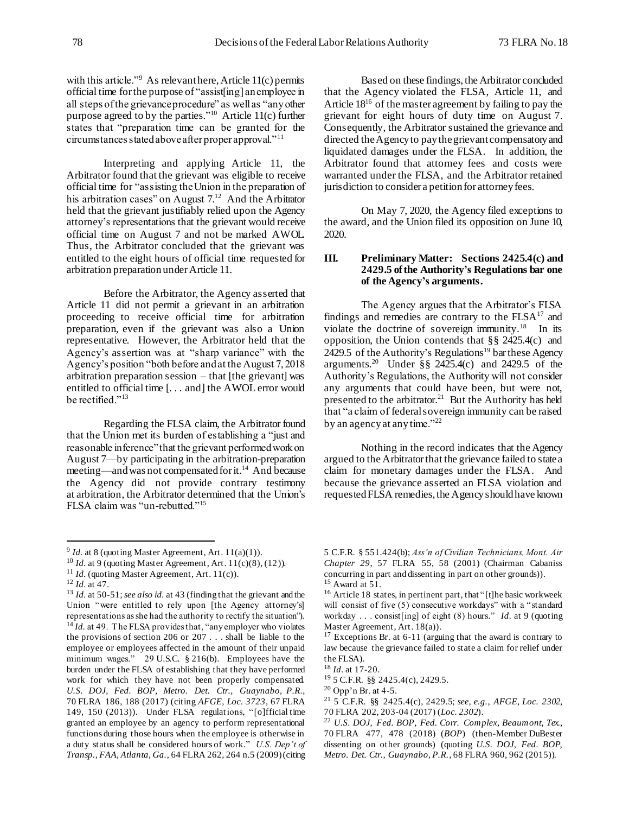with this article."<sup>9</sup> As relevant here, Article 11(c) permits official time for the purpose of "assist[ing] an employee in all steps of the grievance procedure" as well as "any other purpose agreed to by the parties." <sup>10</sup> Article 11(c) further states that "preparation time can be granted for the circumstances stated above after proper approval."<sup>11</sup>

Interpreting and applying Article 11, the Arbitrator found that the grievant was eligible to receive official time for "assisting the Union in the preparation of his arbitration cases" on August 7.<sup>12</sup> And the Arbitrator held that the grievant justifiably relied upon the Agency attorney's representations that the grievant would receive official time on August 7 and not be marked AWOL. Thus, the Arbitrator concluded that the grievant was entitled to the eight hours of official time requested for arbitration preparation under Article 11.

Before the Arbitrator, the Agency asserted that Article 11 did not permit a grievant in an arbitration proceeding to receive official time for arbitration preparation, even if the grievant was also a Union representative. However, the Arbitrator held that the Agency's assertion was at "sharp variance" with the Agency's position "both before and at the August 7, 2018 arbitration preparation session – that [the grievant] was entitled to official time [. . . and] the AWOL error would be rectified."<sup>13</sup>

Regarding the FLSA claim, the Arbitrator found that the Union met its burden of establishing a "just and reasonable inference" that the grievant performed work on August 7—by participating in the arbitration-preparation meeting—and was not compensated for it.<sup>14</sup> And because the Agency did not provide contrary testimony at arbitration, the Arbitrator determined that the Union's FLSA claim was "un-rebutted."<sup>15</sup>

j

Based on these findings, the Arbitrator concluded that the Agency violated the FLSA, Article 11, and Article  $18^{16}$  of the master agreement by failing to pay the grievant for eight hours of duty time on August 7. Consequently, the Arbitrator sustained the grievance and directed the Agency to pay the grievant compensatory and liquidated damages under the FLSA. In addition, the Arbitrator found that attorney fees and costs were warranted under the FLSA, and the Arbitrator retained jurisdiction to consider a petition for attorney fees.

On May 7, 2020, the Agency filed exceptions to the award, and the Union filed its opposition on June 10, 2020.

### **III. Preliminary Matter: Sections 2425.4(c) and 2429.5 of the Authority's Regulations bar one of the Agency's arguments.**

The Agency argues that the Arbitrator's FLSA findings and remedies are contrary to the  $FLSA<sup>17</sup>$  and violate the doctrine of sovereign immunity. $^{18}$  In its opposition, the Union contends that  $\S$ § 2425.4(c) and  $2429.5$  of the Authority's Regulations<sup>19</sup> bar these Agency arguments.<sup>20</sup> Under §§ 2425.4(c) and 2429.5 of the Authority's Regulations, the Authority will not consider any arguments that could have been, but were not, presented to the arbitrator.<sup>21</sup> But the Authority has held that "a claim of federal sovereign immunity can be raised by an agency at any time."<sup>22</sup>

Nothing in the record indicates that the Agency argued to the Arbitrator that the grievance failed to state a claim for monetary damages under the FLSA. And because the grievance asserted an FLSA violation and requested FLSA remedies, the Agency should have known

 $9$  *Id.* at 8 (quoting Master Agreement, Art.  $11(a)(1)$ ).

<sup>&</sup>lt;sup>10</sup> *Id.* at 9 (quoting Master Agreement, Art. 11(c)(8), (12)).

<sup>&</sup>lt;sup>11</sup> *Id.* (quoting Master Agreement, Art. 11(c)).

<sup>12</sup> *Id.* at 47.

<sup>13</sup> *Id.* at 50-51; *see also id.* at 43 (finding that the grievant and the Union "were entitled to rely upon [the Agency attorney's] representations as she had the authority to rectify the situation"). <sup>14</sup> *Id.* at 49. The FLSA provides that, "any employer who violates" the provisions of section 206 or 207 . . . shall be liable to the employee or employees affected in the amount of their unpaid minimum wages." 29 U.S.C. § 216(b). Employees have the burden under the FLSA of establishing that they have performed work for which they have not been properly compensated. *U.S. DOJ, Fed. BOP, Metro. Det. Ctr., Guaynabo, P.R.*, 70 FLRA 186, 188 (2017) (citing *AFGE, Loc. 3723*, 67 FLRA 149, 150 (2013)). Under FLSA regulations, "[o]fficial time granted an employee by an agency to perform representational functions during those hours when the employee is otherwise in a duty status shall be considered hours of work." *U.S. Dep't of Transp., FAA, Atlanta, Ga.*, 64 FLRA 262, 264 n.5 (2009) (citing

<sup>5</sup> C.F.R. § 551.424(b); *Ass'n of Civilian Technicians, Mont. Air Chapter 29*, 57 FLRA 55, 58 (2001) (Chairman Cabaniss concurring in part and dissenting in part on other grounds)).  $15$  Award at 51.

<sup>&</sup>lt;sup>16</sup> Article 18 states, in pertinent part, that "[t]he basic workweek will consist of five (5) consecutive workdays" with a "standard workday . . . consist[ing] of eight (8) hours." *Id.* at 9 (quoting Master Agreement, Art. 18(a)).

<sup>&</sup>lt;sup>17</sup> Exceptions Br. at 6-11 (arguing that the award is contrary to law because the grievance failed to state a claim for relief under the FLSA).

<sup>18</sup> *Id.* at 17-20.

<sup>19</sup> 5 C.F.R. §§ 2425.4(c), 2429.5.

<sup>20</sup> Opp'n Br. at 4-5.

<sup>21</sup> 5 C.F.R. §§ 2425.4(c), 2429.5; *see, e.g.*, *AFGE, Loc. 2302*, 70 FLRA 202, 203-04 (2017) (*Loc. 2302*).

<sup>22</sup> *U.S. DOJ, Fed. BOP, Fed. Corr. Complex, Beaumont, Tex.*, 70 FLRA 477, 478 (2018) (*BOP*) (then-Member DuBester dissenting on other grounds) (quoting *U.S. DOJ, Fed. BOP, Metro. Det. Ctr., Guaynabo, P.R.*, 68 FLRA 960, 962 (2015)).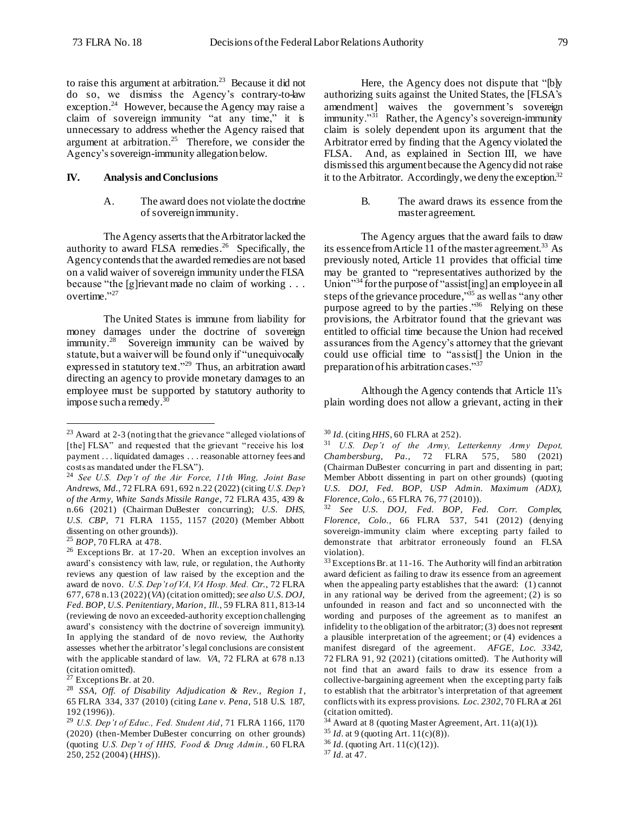to raise this argument at arbitration. 23 Because it did not do so, we dismiss the Agency's contrary-to-law exception.<sup>24</sup> However, because the Agency may raise a claim of sovereign immunity "at any time," it is unnecessary to address whether the Agency raised that argument at arbitration.<sup>25</sup> Therefore, we consider the Agency's sovereign-immunity allegation below.

## **IV. Analysis and Conclusions**

A. The award does not violate the doctrine of sovereign immunity.

The Agency asserts that the Arbitrator lacked the authority to award FLSA remedies.<sup>26</sup> Specifically, the Agency contends that the awarded remedies are not based on a valid waiver of sovereign immunity under the FLSA because "the [g]rievant made no claim of working . . . overtime." 27

The United States is immune from liability for money damages under the doctrine of sovereign immunity.<sup>28</sup> Sovereign immunity can be waived by statute, but a waiver will be found only if "unequivocally expressed in statutory text."<sup>29</sup> Thus, an arbitration award directing an agency to provide monetary damages to an employee must be supported by statutory authority to impose such a remedy. $30$ 

l

Here, the Agency does not dispute that "[b]y authorizing suits against the United States, the [FLSA's amendment] waives the government's sovereign immunity."<sup>31</sup> Rather, the Agency's sovereign-immunity claim is solely dependent upon its argument that the Arbitrator erred by finding that the Agency violated the FLSA. And, as explained in Section III, we have dismissed this argument because the Agency did not raise it to the Arbitrator. Accordingly, we deny the exception.<sup>32</sup>

> B. The award draws its essence from the master agreement.

The Agency argues that the award fails to draw its essence from Article 11 of the master agreement. 33 As previously noted, Article 11 provides that official time may be granted to "representatives authorized by the Union"<sup>34</sup> for the purpose of "assist[ing] an employee in all steps of the grievance procedure,"<sup>35</sup> as well as "any other purpose agreed to by the parties."<sup>36</sup> Relying on these provisions, the Arbitrator found that the grievant was entitled to official time because the Union had received assurances from the Agency's attorney that the grievant could use official time to "assist[] the Union in the preparation of his arbitration cases."<sup>37</sup>

Although the Agency contends that Article 11's plain wording does not allow a grievant, acting in their

<sup>23</sup> Award at 2-3 (noting that the grievance "alleged violations of [the] FLSA" and requested that the grievant "receive his lost payment . . . liquidated damages . . . reasonable attorney fees and costs as mandated under the FLSA").

<sup>24</sup> *See U.S. Dep't of the Air Force, 11th Wing, Joint Base Andrews, Md.*, 72 FLRA 691, 692 n.22 (2022) (citing *U.S. Dep't of the Army, White Sands Missile Range*, 72 FLRA 435, 439 & n.66 (2021) (Chairman DuBester concurring); *U.S. DHS, U.S. CBP*, 71 FLRA 1155, 1157 (2020) (Member Abbott dissenting on other grounds)).

<sup>25</sup> *BOP*, 70 FLRA at 478.

<sup>26</sup> Exceptions Br. at 17-20. When an exception involves an award's consistency with law, rule, or regulation, the Authority reviews any question of law raised by the exception and the award de novo. *U.S. Dep't of VA, VA Hosp. Med. Ctr.*, 72 FLRA 677, 678 n.13 (2022) (*VA*) (citation omitted); *see also U.S. DOJ, Fed. BOP, U.S. Penitentiary, Marion, Ill.*, 59 FLRA 811, 813-14 (reviewing de novo an exceeded-authority exception challenging award's consistency with the doctrine of sovereign immunity). In applying the standard of de novo review, the Authority assesses whether the arbitrator's legal conclusions are consistent with the applicable standard of law. *VA*, 72 FLRA at 678 n.13 (citation omitted).

 $27$  Exceptions Br. at 20.

<sup>28</sup> *SSA, Off. of Disability Adjudication & Rev., Region 1*, 65 FLRA 334, 337 (2010) (citing *Lane v. Pena*, 518 U.S. 187, 192 (1996)).

<sup>29</sup> *U.S. Dep't of Educ., Fed. Student Aid*, 71 FLRA 1166, 1170 (2020) (then-Member DuBester concurring on other grounds) (quoting *U.S. Dep't of HHS, Food & Drug Admin.*, 60 FLRA 250, 252 (2004) (*HHS*)).

<sup>30</sup> *Id.* (citing *HHS*, 60 FLRA at 252).

<sup>31</sup> *U.S. Dep't of the Army, Letterkenny Army Depot, Chambersburg, Pa.*, 72 FLRA 575, 580 (2021) (Chairman DuBester concurring in part and dissenting in part; Member Abbott dissenting in part on other grounds) (quoting *U.S. DOJ, Fed. BOP, USP Admin. Maximum (ADX), Florence, Colo.*, 65 FLRA 76, 77 (2010)).

<sup>32</sup> *See U.S. DOJ, Fed. BOP, Fed. Corr. Complex, Florence, Colo.*, 66 FLRA 537, 541 (2012) (denying sovereign-immunity claim where excepting party failed to demonstrate that arbitrator erroneously found an FLSA violation).

<sup>&</sup>lt;sup>33</sup> Exceptions Br. at 11-16. The Authority will find an arbitration award deficient as failing to draw its essence from an agreement when the appealing party establishes that the award: (1) cannot in any rational way be derived from the agreement; (2) is so unfounded in reason and fact and so unconnected with the wording and purposes of the agreement as to manifest an infidelity to the obligation of the arbitrator; (3) does not represent a plausible interpretation of the agreement; or (4) evidences a manifest disregard of the agreement. *AFGE, Loc. 3342*, 72 FLRA 91, 92 (2021) (citations omitted). The Authority will not find that an award fails to draw its essence from a collective-bargaining agreement when the excepting party fails to establish that the arbitrator's interpretation of that agreement conflicts with its express provisions. *Loc. 2302*, 70 FLRA at 261 (citation omitted).

 $34$  Award at 8 (quoting Master Agreement, Art. 11(a)(1)).

<sup>35</sup> *Id.* at 9 (quoting Art. 11(c)(8)).

<sup>36</sup> *Id.* (quoting Art. 11(c)(12)).

<sup>37</sup> *Id.* at 47.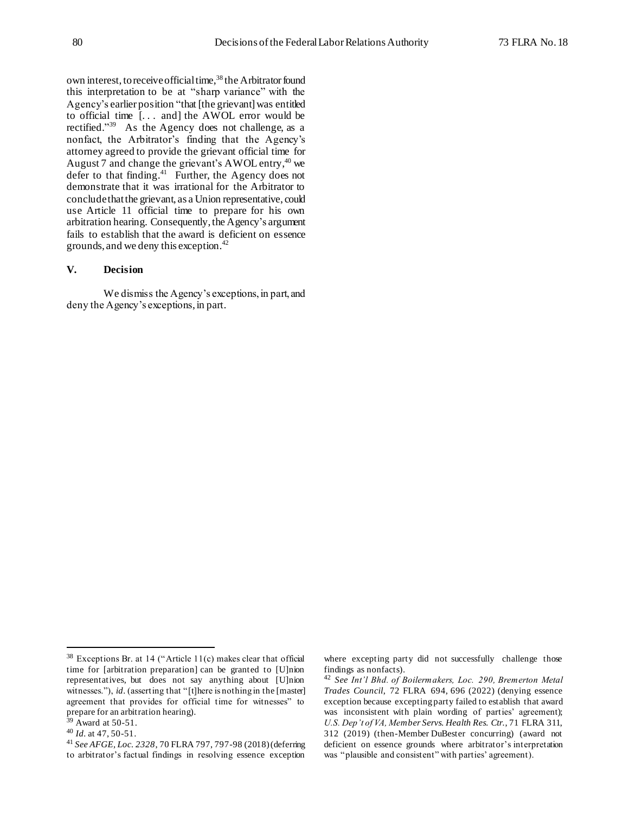own interest, to receive official time,<sup>38</sup> the Arbitrator found this interpretation to be at "sharp variance" with the Agency's earlier position "that [the grievant] was entitled to official time [. . . and] the AWOL error would be rectified."<sup>39</sup> As the Agency does not challenge, as a nonfact, the Arbitrator's finding that the Agency's attorney agreed to provide the grievant official time for August 7 and change the grievant's AWOL entry,<sup>40</sup> we defer to that finding.<sup>41</sup> Further, the Agency does not demonstrate that it was irrational for the Arbitrator to concludethat the grievant, as a Union representative, could use Article 11 official time to prepare for his own arbitration hearing. Consequently, the Agency's argument fails to establish that the award is deficient on essence grounds, and we deny this exception.<sup>42</sup>

# **V. Decision**

We dismiss the Agency's exceptions, in part, and deny the Agency's exceptions, in part.

l

where excepting party did not successfully challenge those findings as nonfacts).

<sup>42</sup> *See Int'l Bhd. of Boilermakers, Loc. 290, Bremerton Metal Trades Council*, 72 FLRA 694, 696 (2022) (denying essence exception because excepting party failed to establish that award was inconsistent with plain wording of parties' agreement); *U.S. Dep't of VA, Member Servs. Health Res. Ctr.*, 71 FLRA 311, 312 (2019) (then-Member DuBester concurring) (award not deficient on essence grounds where arbitrator's interpretation was "plausible and consistent" with parties' agreement).

 $38$  Exceptions Br. at 14 ("Article 11(c) makes clear that official time for [arbitration preparation] can be granted to [U]nion representatives, but does not say anything about [U]nion witnesses."), *id.* (asserting that "[t]here is nothing in the [master] agreement that provides for official time for witnesses" to prepare for an arbitration hearing).

 $39$  Award at 50-51.

<sup>40</sup> *Id.* at 47, 50-51.

<sup>41</sup> *See AFGE, Loc. 2328*, 70 FLRA 797, 797-98 (2018) (deferring to arbitrator's factual findings in resolving essence exception